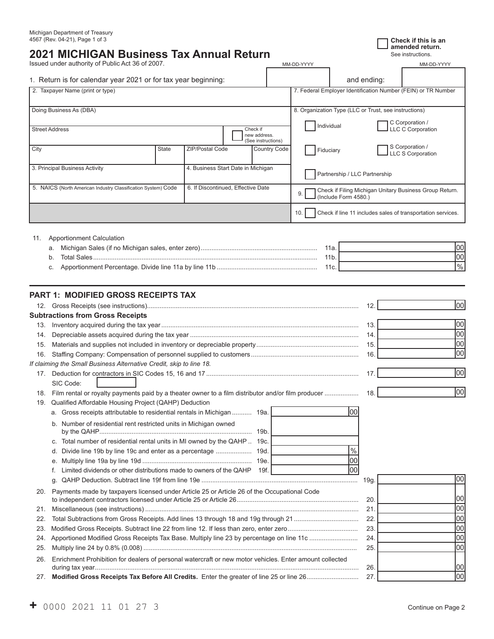# **2021 MICHIGAN Business Tax Annual Return**

Issued under authority of Public Act 36 of 2007.

| 1. Return is for calendar vear 2021 or for tax vear beginning: |  | and ending: |
|----------------------------------------------------------------|--|-------------|
|----------------------------------------------------------------|--|-------------|

| Issued under authority of Public Act 36 of 2007.               |          | MM-DD-YYYY |                                                       | MM-DD-YYYY                                                    |
|----------------------------------------------------------------|----------|------------|-------------------------------------------------------|---------------------------------------------------------------|
| 1. Return is for calendar year 2021 or for tax year beginning: |          |            | and ending:                                           |                                                               |
| 2. Taxpayer Name (print or type)                               |          |            |                                                       | 7. Federal Employer Identification Number (FEIN) or TR Number |
|                                                                |          |            |                                                       |                                                               |
| Doing Business As (DBA)                                        |          |            | 8. Organization Type (LLC or Trust, see instructions) |                                                               |
|                                                                |          |            | Individual                                            | C Corporation /                                               |
| Street Address                                                 | Check if |            |                                                       | I LLC C Corporation                                           |

**amended return.**

|                                                               |                                    |                                    |  | new address.<br>(See instructions) |                                                                                         |                                                             |  |
|---------------------------------------------------------------|------------------------------------|------------------------------------|--|------------------------------------|-----------------------------------------------------------------------------------------|-------------------------------------------------------------|--|
| City                                                          | State                              | <b>ZIP/Postal Code</b>             |  | Country Code                       | Fiduciary                                                                               | S Corporation /<br>LLC S Corporation                        |  |
| 3. Principal Business Activity                                | 4. Business Start Date in Michigan |                                    |  | Partnership / LLC Partnership      |                                                                                         |                                                             |  |
| 5. NAICS (North American Industry Classification System) Code |                                    | 6. If Discontinued, Effective Date |  |                                    | Check if Filing Michigan Unitary Business Group Return.<br>I (Include Form 4580.)<br>9. |                                                             |  |
|                                                               |                                    |                                    |  |                                    | 10.                                                                                     | Check if line 11 includes sales of transportation services. |  |
|                                                               |                                    |                                    |  |                                    |                                                                                         |                                                             |  |

| 11. | Apportionment Calculation |                 |                 |
|-----|---------------------------|-----------------|-----------------|
|     |                           | 11a.            | Inn             |
|     |                           | 11 <sub>b</sub> | Inn             |
|     |                           | 11c.            | 10 <sub>0</sub> |
|     |                           |                 |                 |

# **PART 1: MODIFIED GROSS RECEIPTS TAX**

|     |                                                                                                         | 12.  | 00   |
|-----|---------------------------------------------------------------------------------------------------------|------|------|
|     | <b>Subtractions from Gross Receipts</b>                                                                 |      |      |
| 13. |                                                                                                         | 13.  | 00   |
| 14. |                                                                                                         | 14.  | 00   |
| 15. |                                                                                                         | 15.  | 00   |
| 16. |                                                                                                         | 16.  | 00   |
|     | If claiming the Small Business Alternative Credit, skip to line 18.                                     |      |      |
| 17. |                                                                                                         | 17.  | 00   |
|     | SIC Code:                                                                                               |      |      |
| 18. | Film rental or royalty payments paid by a theater owner to a film distributor and/or film producer      | 18.  | 00   |
| 19. | Qualified Affordable Housing Project (QAHP) Deduction                                                   |      |      |
|     | 100<br>a. Gross receipts attributable to residential rentals in Michigan  19a.                          |      |      |
|     | b. Number of residential rent restricted units in Michigan owned<br>19b.                                |      |      |
|     | c. Total number of residential rental units in MI owned by the QAHP  19c.                               |      |      |
|     | $\frac{0}{0}$<br>d. Divide line 19b by line 19c and enter as a percentage<br>19d.                       |      |      |
|     | l00<br>19e.                                                                                             |      |      |
|     | 00<br>Limited dividends or other distributions made to owners of the QAHP 19f.                          |      |      |
|     | q.                                                                                                      | 19g. | 00   |
| 20. | Payments made by taxpayers licensed under Article 25 or Article 26 of the Occupational Code             | 20.  | 100  |
| 21. |                                                                                                         | 21.  | loo  |
| 22. |                                                                                                         | 22.  | 00   |
| 23. |                                                                                                         | 23.  | 00   |
| 24. |                                                                                                         | 24.  | 00   |
| 25. |                                                                                                         | 25.  | 00   |
| 26. | Enrichment Prohibition for dealers of personal watercraft or new motor vehicles. Enter amount collected | 26.  | 100  |
| 27. |                                                                                                         | 27.  | lool |
|     |                                                                                                         |      |      |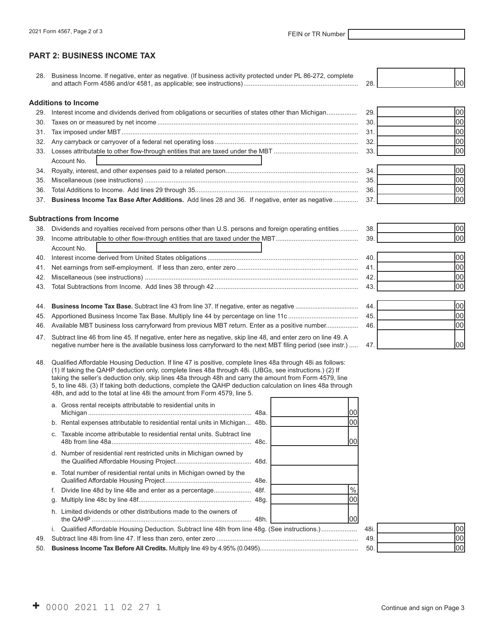# **PART 2: BUSINESS INCOME TAX**

| 28. Business Income. If negative, enter as negative. (If business activity protected under PL 86-272, complete |  |  |
|----------------------------------------------------------------------------------------------------------------|--|--|
| and attach Form 4586 and/or 4581, as applicable: see instructions).                                            |  |  |

#### **Additions to Income**

| 29. Interest income and dividends derived from obligations or securities of states other than Michigan | 29. |      |
|--------------------------------------------------------------------------------------------------------|-----|------|
|                                                                                                        | 30  |      |
|                                                                                                        | 31  |      |
|                                                                                                        | 32  |      |
|                                                                                                        | 33  | וחחו |
| Account No.                                                                                            |     |      |
|                                                                                                        | 34  |      |
|                                                                                                        | 35  |      |
|                                                                                                        | 36. | 100I |

37. **Business Income Tax Base After Additions.** Add lines 28 and 36. If negative, enter as negative .............. 37. 00

#### **Subtractions from Income**

| 38. Dividends and royalties received from persons other than U.S. persons and foreign operating entities  38. |    |     |
|---------------------------------------------------------------------------------------------------------------|----|-----|
|                                                                                                               | 39 | 100 |
| Account No.                                                                                                   |    |     |
|                                                                                                               | 40 |     |
|                                                                                                               | 41 |     |
|                                                                                                               | 42 |     |
|                                                                                                               | 43 |     |
|                                                                                                               |    |     |

#### 44. **Business Income Tax Base.** Subtract line 43 from line 37. If negative, enter as negative ..................................... 44. 00

- 46. Available MBT business loss carryforward from previous MBT return. Enter as a positive number................
- 47. Subtract line 46 from line 45. If negative, enter here as negative, skip line 48, and enter zero on line 49. A negative number here is the available business loss carryforward to the next MBT filing period (see instr.) ..... 47. [200]

| 48. Qualified Affordable Housing Deduction. If line 47 is positive, complete lines 48a through 48i as follows: |
|----------------------------------------------------------------------------------------------------------------|
| (1) If taking the QAHP deduction only, complete lines 48a through 48i. (UBGs, see instructions.) (2) If        |
| taking the seller's deduction only, skip lines 48a through 48h and carry the amount from Form 4579, line       |
| 5, to line 48i. (3) If taking both deductions, complete the QAHP deduction calculation on lines 48a through    |
| 48h, and add to the total at line 48 the amount from Form 4579, line 5.                                        |

|     | a. Gross rental receipts attributable to residential units in                                   | OC |     |     |
|-----|-------------------------------------------------------------------------------------------------|----|-----|-----|
|     | b. Rental expenses attributable to residential rental units in Michigan 48b.                    | 00 |     |     |
|     | Taxable income attributable to residential rental units. Subtract line                          | 00 |     |     |
|     | d. Number of residential rent restricted units in Michigan owned by                             |    |     |     |
|     | e. Total number of residential rental units in Michigan owned by the                            |    |     |     |
|     |                                                                                                 |    |     |     |
|     |                                                                                                 | O( |     |     |
|     | h. Limited dividends or other distributions made to the owners of                               | 00 |     |     |
|     | i. Qualified Affordable Housing Deduction. Subtract line 48h from line 48g. (See instructions.) |    | 48i | 100 |
| 49. |                                                                                                 |    | 49  | 100 |
|     |                                                                                                 |    | 50  | 100 |
|     |                                                                                                 |    |     |     |

| 48i. |  |
|------|--|
| 49.  |  |
| 50.  |  |

| 42.<br>43. |  |
|------------|--|
|            |  |
|            |  |
| 44.<br>45. |  |

| 44.<br>45. |  |
|------------|--|
| 46.        |  |
|            |  |
|            |  |

┯ ┑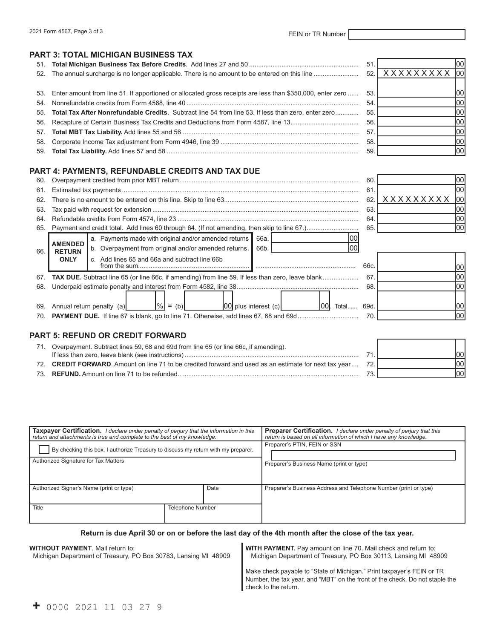## **PART 3: TOTAL MICHIGAN BUSINESS TAX**

|                                                                                                               | 51  | 100I             |
|---------------------------------------------------------------------------------------------------------------|-----|------------------|
|                                                                                                               |     | 52. XXXXXXXXX 00 |
|                                                                                                               |     |                  |
| 53. Enter amount from line 51. If apportioned or allocated gross receipts are less than \$350,000, enter zero | 53. |                  |
|                                                                                                               | 54  |                  |
| 55. Total Tax After Nonrefundable Credits. Subtract line 54 from line 53. If less than zero, enter zero       | 55. | 00'              |
|                                                                                                               | 56. |                  |
|                                                                                                               | 57  |                  |
|                                                                                                               | 58  | 1001             |
|                                                                                                               | 59  |                  |
|                                                                                                               |     |                  |

## **PART 4: PAYMENTS, REFUNDABLE CREDITS AND TAX DUE**

| 60. |                                                                  |                                                                                                                                                                                       | 60   |                         |  |
|-----|------------------------------------------------------------------|---------------------------------------------------------------------------------------------------------------------------------------------------------------------------------------|------|-------------------------|--|
| 61. |                                                                  |                                                                                                                                                                                       | 61   |                         |  |
| 62. |                                                                  |                                                                                                                                                                                       | 62   | <b>XXXXXXXXX</b><br>100 |  |
| 63. |                                                                  |                                                                                                                                                                                       | 63   |                         |  |
| 64. |                                                                  |                                                                                                                                                                                       | 64   |                         |  |
|     |                                                                  |                                                                                                                                                                                       | 65.  | 100l                    |  |
| 66. | <b>AMENDED</b><br><b>RETURN</b><br><b>ONLY</b>                   | a. Payments made with original and/or amended returns<br>66a.<br>b. Overpayment from original and/or amended returns.<br>66b.<br>100<br>c. Add lines 65 and 66a and subtract line 66b | 66c. |                         |  |
| 67. |                                                                  | <b>TAX DUE.</b> Subtract line 65 (or line 66c, if amending) from line 59. If less than zero, leave blank                                                                              | 67   |                         |  |
| 68. | 68<br>$ \%  = (b) $ $ 00 $ plus interest (c)<br><b>00.</b> Total |                                                                                                                                                                                       |      |                         |  |
| 69. | Annual return penalty (a)                                        | 69d.                                                                                                                                                                                  |      |                         |  |
|     |                                                                  |                                                                                                                                                                                       | 70   |                         |  |

# **PART 5: REFUND OR CREDIT FORWARD**

| Overpayment. Subtract lines 59, 68 and 69d from line 65 (or line 66c, if amending).                    |  |
|--------------------------------------------------------------------------------------------------------|--|
|                                                                                                        |  |
| 72. CREDIT FORWARD. Amount on line 71 to be credited forward and used as an estimate for next tax year |  |
|                                                                                                        |  |

| <b>Taxpayer Certification.</b> I declare under penalty of perjury that the information in this<br>return and attachments is true and complete to the best of my knowledge. |                         | Preparer Certification. I declare under penalty of perjury that this<br>return is based on all information of which I have any knowledge. |  |
|----------------------------------------------------------------------------------------------------------------------------------------------------------------------------|-------------------------|-------------------------------------------------------------------------------------------------------------------------------------------|--|
| By checking this box, I authorize Treasury to discuss my return with my preparer.                                                                                          |                         | Preparer's PTIN, FEIN or SSN                                                                                                              |  |
| Authorized Signature for Tax Matters                                                                                                                                       |                         | Preparer's Business Name (print or type)                                                                                                  |  |
| Authorized Signer's Name (print or type)                                                                                                                                   | Date                    | Preparer's Business Address and Telephone Number (print or type)                                                                          |  |
| Title                                                                                                                                                                      | <b>Telephone Number</b> |                                                                                                                                           |  |

#### **Return is due April 30 or on or before the last day of the 4th month after the close of the tax year.**

#### **WITHOUT PAYMENT**. Mail return to:

Michigan Department of Treasury, PO Box 30783, Lansing MI 48909

**WITH PAYMENT.** Pay amount on line 70. Mail check and return to: Michigan Department of Treasury, PO Box 30113, Lansing MI 48909

Make check payable to "State of Michigan." Print taxpayer's FEIN or TR Number, the tax year, and "MBT" on the front of the check. Do not staple the check to the return.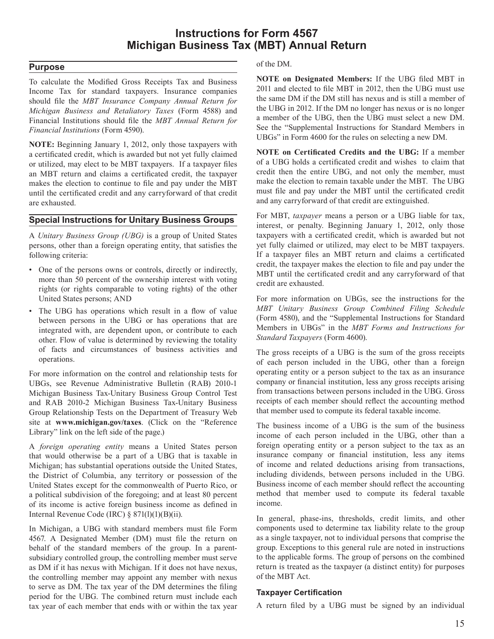# **Instructions for Form 4567 Michigan Business Tax (MBT) Annual Return**

# **Purpose**

To calculate the Modified Gross Receipts Tax and Business Income Tax for standard taxpayers. Insurance companies should file the MBT Insurance Company Annual Return for *Michigan Business and Retaliatory Taxes* (Form 4588) and Financial Institutions should file the MBT Annual Return for *Financial Institutions* (Form 4590).

**NOTE:** Beginning January 1, 2012, only those taxpayers with a certificated credit, which is awarded but not yet fully claimed or utilized, may elect to be MBT taxpayers. If a taxpayer files an MBT return and claims a certificated credit, the taxpayer makes the election to continue to file and pay under the MBT until the certificated credit and any carryforward of that credit are exhausted

# **Special Instructions for Unitary Business Groups**

A Unitary Business Group (UBG) is a group of United States persons, other than a foreign operating entity, that satisfies the following criteria:

- One of the persons owns or controls, directly or indirectly, more than 50 percent of the ownership interest with voting rights (or rights comparable to voting rights) of the other United States persons: AND
- The UBG has operations which result in a flow of value between persons in the UBG or has operations that are integrated with, are dependent upon, or contribute to each other. Flow of value is determined by reviewing the totality of facts and circumstances of business activities and operations.

For more information on the control and relationship tests for UBGs, see Revenue Administrative Bulletin (RAB) 2010-1 Michigan Business Tax-Unitary Business Group Control Test and RAB 2010-2 Michigan Business Tax-Unitary Business Group Relationship Tests on the Department of Treasury Web site at www.michigan.gov/taxes. (Click on the "Reference Library" link on the left side of the page.)

A *foreign operating entity* means a United States person that would otherwise be a part of a UBG that is taxable in Michigan; has substantial operations outside the United States, the District of Columbia, any territory or possession of the United States except for the commonwealth of Puerto Rico, or a political subdivision of the foregoing; and at least 80 percent of its income is active foreign business income as defined in Internal Revenue Code (IRC)  $\S$  871(1)(1)(B)(ii).

In Michigan, a UBG with standard members must file Form 4567. A Designated Member (DM) must file the return on behalf of the standard members of the group. In a parentsubsidiary controlled group, the controlling member must serve as DM if it has nexus with Michigan. If it does not have nexus, the controlling member may appoint any member with nexus to serve as DM. The tax year of the DM determines the filing period for the UBG. The combined return must include each tax year of each member that ends with or within the tax year

of the DM.

**NOTE** on Designated Members: If the UBG filed MBT in 2011 and elected to file MBT in 2012, then the UBG must use the same DM if the DM still has nexus and is still a member of the UBG in 2012. If the DM no longer has nexus or is no longer a member of the UBG, then the UBG must select a new DM. See the "Supplemental Instructions for Standard Members in UBGs" in Form 4600 for the rules on selecting a new DM.

**NOTE** on Certificated Credits and the UBG: If a member of a UBG holds a certificated credit and wishes to claim that credit then the entire UBG, and not only the member, must make the election to remain taxable under the MBT. The UBG must file and pay under the MBT until the certificated credit and any carryforward of that credit are extinguished.

For MBT, *taxpayer* means a person or a UBG liable for tax, interest, or penalty. Beginning January 1, 2012, only those taxpayers with a certificated credit, which is awarded but not yet fully claimed or utilized, may elect to be MBT taxpayers. If a taxpayer files an MBT return and claims a certificated credit, the taxpayer makes the election to file and pay under the MBT until the certificated credit and any carryforward of that credit are exhausted.

For more information on UBGs, see the instructions for the *MBT Unitary Business Group Combined Filing Schedule* (Form 4580), and the "Supplemental Instructions for Standard Members in UBGs" in the *MBT Forms and Instructions for Standard Taxpayers* (Form 4600).

The gross receipts of a UBG is the sum of the gross receipts of each person included in the UBG, other than a foreign operating entity or a person subject to the tax as an insurance company or financial institution, less any gross receipts arising from transactions between persons included in the UBG. Gross receipts of each member should reflect the accounting method that member used to compute its federal taxable income.

The business income of a UBG is the sum of the business income of each person included in the UBG, other than a foreign operating entity or a person subject to the tax as an insurance company or financial institution, less any items of income and related deductions arising from transactions, including dividends, between persons included in the UBG. Business income of each member should reflect the accounting method that member used to compute its federal taxable income.

In general, phase-ins, thresholds, credit limits, and other components used to determine tax liability relate to the group as a single taxpayer, not to individual persons that comprise the group. Exceptions to this general rule are noted in instructions to the applicable forms. The group of persons on the combined return is treated as the taxpayer (a distinct entity) for purposes of the MBT Act.

# **Taxpayer Certification**

A return filed by a UBG must be signed by an individual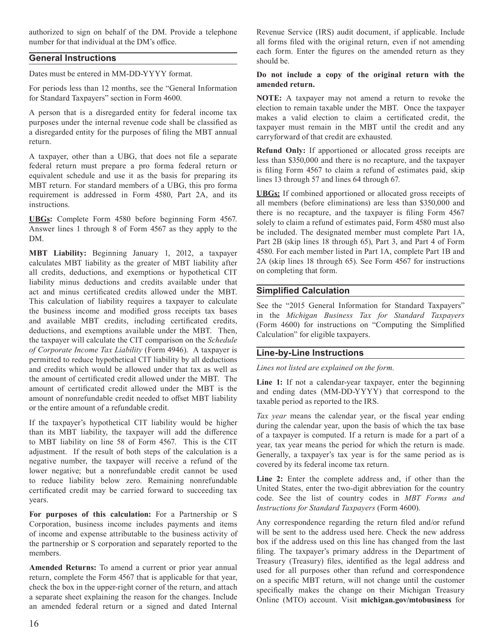authorized to sign on behalf of the DM. Provide a telephone number for that individual at the DM's office.

# **General Instructions**

Dates must be entered in MM-DD-YYYY format.

For periods less than 12 months, see the "General Information for Standard Taxpayers" section in Form 4600.

A person that is a disregarded entity for federal income tax purposes under the internal revenue code shall be classified as a disregarded entity for the purposes of filing the MBT annual return.

A taxpayer, other than a UBG, that does not file a separate federal return must prepare a pro forma federal return or equivalent schedule and use it as the basis for preparing its MBT return. For standard members of a UBG, this pro forma requirement is addressed in Form 4580, Part 2A, and its instructions.

UBGs: Complete Form 4580 before beginning Form 4567. Answer lines 1 through 8 of Form 4567 as they apply to the DM.

MBT Liability: Beginning January 1, 2012, a taxpayer calculates MBT liability as the greater of MBT liability after all credits, deductions, and exemptions or hypothetical CIT liability minus deductions and credits available under that act and minus certificated credits allowed under the MBT. This calculation of liability requires a taxpayer to calculate the business income and modified gross receipts tax bases and available MBT credits, including certificated credits, deductions, and exemptions available under the MBT. Then, the taxpayer will calculate the CIT comparison on the Schedule of Corporate Income Tax Liability (Form 4946). A taxpayer is permitted to reduce hypothetical CIT liability by all deductions and credits which would be allowed under that tax as well as the amount of certificated credit allowed under the MBT. The amount of certificated credit allowed under the MBT is the amount of nonrefundable credit needed to offset MBT liability or the entire amount of a refundable credit.

If the taxpayer's hypothetical CIT liability would be higher than its MBT liability, the taxpayer will add the difference to MBT liability on line 58 of Form 4567. This is the CIT adjustment. If the result of both steps of the calculation is a negative number, the taxpayer will receive a refund of the lower negative; but a nonrefundable credit cannot be used to reduce liability below zero. Remaining nonrefundable certificated credit may be carried forward to succeeding tax years.

For purposes of this calculation: For a Partnership or S Corporation, business income includes payments and items of income and expense attributable to the business activity of the partnership or S corporation and separately reported to the members.

Amended Returns: To amend a current or prior year annual return, complete the Form 4567 that is applicable for that year, check the box in the upper-right corner of the return, and attach a separate sheet explaining the reason for the changes. Include an amended federal return or a signed and dated Internal

Revenue Service (IRS) audit document, if applicable. Include all forms filed with the original return, even if not amending each form. Enter the figures on the amended return as they should be

# Do not include a copy of the original return with the amended return.

NOTE: A taxpayer may not amend a return to revoke the election to remain taxable under the MBT. Once the taxpayer makes a valid election to claim a certificated credit, the taxpayer must remain in the MBT until the credit and any carryforward of that credit are exhausted.

Refund Only: If apportioned or allocated gross receipts are less than \$350,000 and there is no recapture, and the taxpayer is filing Form 4567 to claim a refund of estimates paid, skip lines 13 through 57 and lines 64 through 67.

**UBGs:** If combined apportioned or allocated gross receipts of all members (before eliminations) are less than \$350,000 and there is no recapture, and the taxpayer is filing Form 4567 solely to claim a refund of estimates paid, Form 4580 must also be included. The designated member must complete Part 1A, Part 2B (skip lines 18 through 65), Part 3, and Part 4 of Form 4580. For each member listed in Part 1A, complete Part 1B and 2A (skip lines 18 through 65). See Form 4567 for instructions on completing that form.

# **Simplified Calculation**

See the "2015 General Information for Standard Taxpayers" in the Michigan Business Tax for Standard Taxpayers (Form 4600) for instructions on "Computing the Simplified Calculation" for eligible taxpayers.

# **Line-by-Line Instructions**

Lines not listed are explained on the form.

Line 1: If not a calendar-year taxpayer, enter the beginning and ending dates (MM-DD-YYYY) that correspond to the taxable period as reported to the IRS.

Tax year means the calendar year, or the fiscal year ending during the calendar year, upon the basis of which the tax base of a taxpayer is computed. If a return is made for a part of a year, tax year means the period for which the return is made. Generally, a taxpayer's tax year is for the same period as is covered by its federal income tax return.

Line 2: Enter the complete address and, if other than the United States, enter the two-digit abbreviation for the country code. See the list of country codes in MBT Forms and Instructions for Standard Taxpayers (Form 4600).

Any correspondence regarding the return filed and/or refund will be sent to the address used here. Check the new address box if the address used on this line has changed from the last filing. The taxpayer's primary address in the Department of Treasury (Treasury) files, identified as the legal address and used for all purposes other than refund and correspondence on a specific MBT return, will not change until the customer specifically makes the change on their Michigan Treasury Online (MTO) account. Visit michigan.gov/mtobusiness for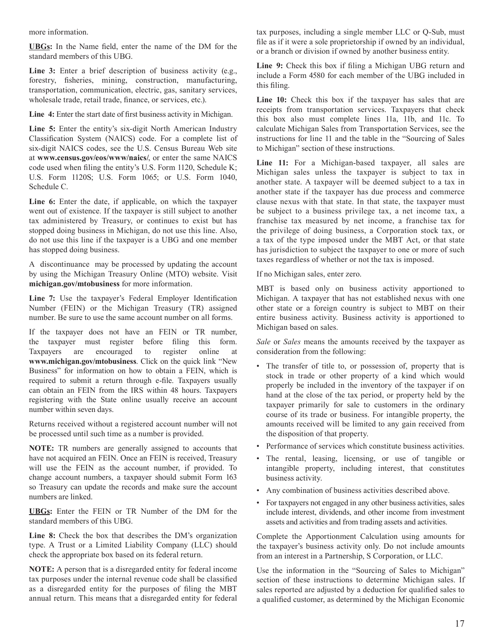more information.

UBGs: In the Name field, enter the name of the DM for the standard members of this UBG.

Line 3: Enter a brief description of business activity (e.g., forestry, fisheries, mining, construction, manufacturing, transportation, communication, electric, gas, sanitary services, wholesale trade, retail trade, finance, or services, etc.).

Line 4: Enter the start date of first business activity in Michigan.

Line 5: Enter the entity's six-digit North American Industry Classification System (NAICS) code. For a complete list of six-digit NAICS codes, see the U.S. Census Bureau Web site at www.census.gov/eos/www/naics/, or enter the same NAICS code used when filing the entity's U.S. Form 1120, Schedule K; U.S. Form 1120S; U.S. Form 1065; or U.S. Form 1040, Schedule C.

Line 6: Enter the date, if applicable, on which the taxpayer went out of existence. If the taxpayer is still subject to another tax administered by Treasury, or continues to exist but has stopped doing business in Michigan, do not use this line. Also, do not use this line if the taxpayer is a UBG and one member has stopped doing business.

A discontinuance may be processed by updating the account by using the Michigan Treasury Online (MTO) website. Visit michigan.gov/mtobusiness for more information.

Line 7: Use the taxpayer's Federal Employer Identification Number (FEIN) or the Michigan Treasury (TR) assigned number. Be sure to use the same account number on all forms.

If the taxpayer does not have an FEIN or TR number, the taxpayer must register before filing this form. Taxpayers encouraged register are to online at www.michigan.gov/mtobusiness. Click on the quick link "New Business" for information on how to obtain a FEIN, which is required to submit a return through e-file. Taxpayers usually can obtain an FEIN from the IRS within 48 hours. Taxpayers registering with the State online usually receive an account number within seven days.

Returns received without a registered account number will not be processed until such time as a number is provided.

NOTE: TR numbers are generally assigned to accounts that have not acquired an FEIN. Once an FEIN is received, Treasury will use the FEIN as the account number, if provided. To change account numbers, a taxpayer should submit Form 163 so Treasury can update the records and make sure the account numbers are linked.

UBGs: Enter the FEIN or TR Number of the DM for the standard members of this UBG.

Line 8: Check the box that describes the DM's organization type. A Trust or a Limited Liability Company (LLC) should check the appropriate box based on its federal return.

**NOTE:** A person that is a disregarded entity for federal income tax purposes under the internal revenue code shall be classified as a disregarded entity for the purposes of filing the MBT annual return. This means that a disregarded entity for federal tax purposes, including a single member LLC or Q-Sub, must file as if it were a sole proprietorship if owned by an individual, or a branch or division if owned by another business entity.

Line 9: Check this box if filing a Michigan UBG return and include a Form 4580 for each member of the UBG included in this filing.

Line 10: Check this box if the taxpayer has sales that are receipts from transportation services. Taxpayers that check this box also must complete lines 11a, 11b, and 11c. To calculate Michigan Sales from Transportation Services, see the instructions for line 11 and the table in the "Sourcing of Sales" to Michigan" section of these instructions.

Line 11: For a Michigan-based taxpayer, all sales are Michigan sales unless the taxpayer is subject to tax in another state. A taxpayer will be deemed subject to a tax in another state if the taxpayer has due process and commerce clause nexus with that state. In that state, the taxpayer must be subject to a business privilege tax, a net income tax, a franchise tax measured by net income, a franchise tax for the privilege of doing business, a Corporation stock tax, or a tax of the type imposed under the MBT Act, or that state has jurisdiction to subject the taxpayer to one or more of such taxes regardless of whether or not the tax is imposed.

If no Michigan sales, enter zero.

MBT is based only on business activity apportioned to Michigan. A taxpayer that has not established nexus with one other state or a foreign country is subject to MBT on their entire business activity. Business activity is apportioned to Michigan based on sales.

Sale or Sales means the amounts received by the taxpayer as consideration from the following:

- The transfer of title to, or possession of, property that is stock in trade or other property of a kind which would properly be included in the inventory of the taxpayer if on hand at the close of the tax period, or property held by the taxpayer primarily for sale to customers in the ordinary course of its trade or business. For intangible property, the amounts received will be limited to any gain received from the disposition of that property.
- Performance of services which constitute business activities.
- The rental, leasing, licensing, or use of tangible or intangible property, including interest, that constitutes business activity.
- Any combination of business activities described above.
- For taxpayers not engaged in any other business activities, sales include interest, dividends, and other income from investment assets and activities and from trading assets and activities.

Complete the Apportionment Calculation using amounts for the taxpayer's business activity only. Do not include amounts from an interest in a Partnership, S Corporation, or LLC.

Use the information in the "Sourcing of Sales to Michigan" section of these instructions to determine Michigan sales. If sales reported are adjusted by a deduction for qualified sales to a qualified customer, as determined by the Michigan Economic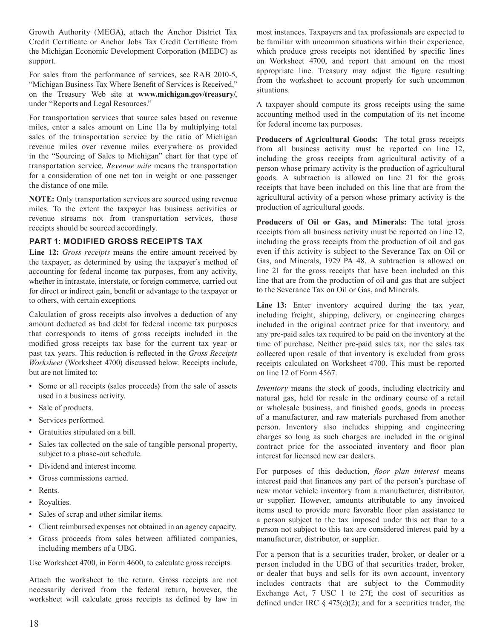Growth Authority (MEGA), attach the Anchor District Tax Credit Certificate or Anchor Jobs Tax Credit Certificate from the Michigan Economic Development Corporation (MEDC) as support.

For sales from the performance of services, see RAB 2010-5, "Michigan Business Tax Where Benefit of Services is Received," on the Treasury Web site at www.michigan.gov/treasury/, under "Reports and Legal Resources."

For transportation services that source sales based on revenue miles, enter a sales amount on Line 11a by multiplying total sales of the transportation service by the ratio of Michigan revenue miles over revenue miles everywhere as provided in the "Sourcing of Sales to Michigan" chart for that type of transportation service. Revenue mile means the transportation for a consideration of one net ton in weight or one passenger the distance of one mile.

NOTE: Only transportation services are sourced using revenue miles. To the extent the taxpayer has business activities or revenue streams not from transportation services, those receipts should be sourced accordingly.

# **PART 1: MODIFIED GROSS RECEIPTS TAX**

Line 12: Gross receipts means the entire amount received by the taxpayer, as determined by using the taxpayer's method of accounting for federal income tax purposes, from any activity, whether in intrastate, interstate, or foreign commerce, carried out for direct or indirect gain, benefit or advantage to the taxpayer or to others, with certain exceptions.

Calculation of gross receipts also involves a deduction of any amount deducted as bad debt for federal income tax purposes that corresponds to items of gross receipts included in the modified gross receipts tax base for the current tax year or past tax years. This reduction is reflected in the Gross Receipts Worksheet (Worksheet 4700) discussed below. Receipts include, but are not limited to:

- Some or all receipts (sales proceeds) from the sale of assets used in a business activity.
- Sale of products.
- Services performed.
- Gratuities stipulated on a bill.
- Sales tax collected on the sale of tangible personal property, subject to a phase-out schedule.
- Dividend and interest income.
- Gross commissions earned.  $\bullet$
- Rents.
- Royalties.
- Sales of scrap and other similar items.
- Client reimbursed expenses not obtained in an agency capacity.
- Gross proceeds from sales between affiliated companies, including members of a UBG.

Use Worksheet 4700, in Form 4600, to calculate gross receipts.

Attach the worksheet to the return. Gross receipts are not necessarily derived from the federal return, however, the worksheet will calculate gross receipts as defined by law in

most instances. Taxpayers and tax professionals are expected to be familiar with uncommon situations within their experience, which produce gross receipts not identified by specific lines on Worksheet 4700, and report that amount on the most appropriate line. Treasury may adjust the figure resulting from the worksheet to account properly for such uncommon situations.

A taxpayer should compute its gross receipts using the same accounting method used in the computation of its net income for federal income tax purposes.

Producers of Agricultural Goods: The total gross receipts from all business activity must be reported on line 12, including the gross receipts from agricultural activity of a person whose primary activity is the production of agricultural goods. A subtraction is allowed on line 21 for the gross receipts that have been included on this line that are from the agricultural activity of a person whose primary activity is the production of agricultural goods.

Producers of Oil or Gas, and Minerals: The total gross receipts from all business activity must be reported on line 12, including the gross receipts from the production of oil and gas even if this activity is subject to the Severance Tax on Oil or Gas, and Minerals, 1929 PA 48. A subtraction is allowed on line 21 for the gross receipts that have been included on this line that are from the production of oil and gas that are subject to the Severance Tax on Oil or Gas, and Minerals.

Line 13: Enter inventory acquired during the tax year, including freight, shipping, delivery, or engineering charges included in the original contract price for that inventory, and any pre-paid sales tax required to be paid on the inventory at the time of purchase. Neither pre-paid sales tax, nor the sales tax collected upon resale of that inventory is excluded from gross receipts calculated on Worksheet 4700. This must be reported on line 12 of Form 4567.

Inventory means the stock of goods, including electricity and natural gas, held for resale in the ordinary course of a retail or wholesale business, and finished goods, goods in process of a manufacturer, and raw materials purchased from another person. Inventory also includes shipping and engineering charges so long as such charges are included in the original contract price for the associated inventory and floor plan interest for licensed new car dealers.

For purposes of this deduction, *floor plan interest* means interest paid that finances any part of the person's purchase of new motor vehicle inventory from a manufacturer, distributor, or supplier. However, amounts attributable to any invoiced items used to provide more favorable floor plan assistance to a person subject to the tax imposed under this act than to a person not subject to this tax are considered interest paid by a manufacturer, distributor, or supplier.

For a person that is a securities trader, broker, or dealer or a person included in the UBG of that securities trader, broker, or dealer that buys and sells for its own account, inventory includes contracts that are subject to the Commodity Exchange Act, 7 USC 1 to 27f; the cost of securities as defined under IRC  $\S$  475(c)(2); and for a securities trader, the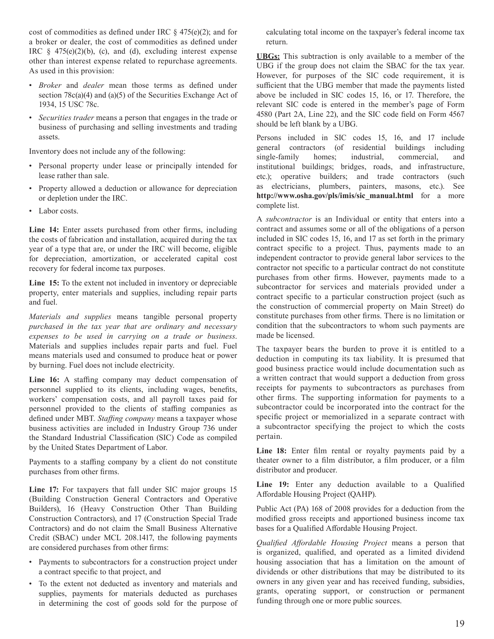cost of commodities as defined under IRC  $\S$  475(e)(2); and for a broker or dealer, the cost of commodities as defined under IRC  $\frac{1}{2}$  475(e)(2)(b), (c), and (d), excluding interest expense other than interest expense related to repurchase agreements. As used in this provision:

- · Broker and dealer mean those terms as defined under section  $78c(a)(4)$  and  $(a)(5)$  of the Securities Exchange Act of 1934, 15 USC 78c.
- Securities trader means a person that engages in the trade or business of purchasing and selling investments and trading assets.

Inventory does not include any of the following:

- Personal property under lease or principally intended for lease rather than sale.
- Property allowed a deduction or allowance for depreciation or depletion under the IRC.
- Labor costs.

Line 14: Enter assets purchased from other firms, including the costs of fabrication and installation, acquired during the tax year of a type that are, or under the IRC will become, eligible for depreciation, amortization, or accelerated capital cost recovery for federal income tax purposes.

Line 15: To the extent not included in inventory or depreciable property, enter materials and supplies, including repair parts and fuel.

Materials and supplies means tangible personal property purchased in the tax year that are ordinary and necessary expenses to be used in carrying on a trade or business. Materials and supplies includes repair parts and fuel. Fuel means materials used and consumed to produce heat or power by burning. Fuel does not include electricity.

Line 16: A staffing company may deduct compensation of personnel supplied to its clients, including wages, benefits, workers' compensation costs, and all payroll taxes paid for personnel provided to the clients of staffing companies as defined under MBT. Staffing company means a taxpayer whose business activities are included in Industry Group 736 under the Standard Industrial Classification (SIC) Code as compiled by the United States Department of Labor.

Payments to a staffing company by a client do not constitute purchases from other firms.

Line 17: For taxpayers that fall under SIC major groups 15 (Building Construction General Contractors and Operative Builders), 16 (Heavy Construction Other Than Building Construction Contractors), and 17 (Construction Special Trade Contractors) and do not claim the Small Business Alternative Credit (SBAC) under MCL 208.1417, the following payments are considered purchases from other firms:

- Payments to subcontractors for a construction project under a contract specific to that project, and
- To the extent not deducted as inventory and materials and supplies, payments for materials deducted as purchases in determining the cost of goods sold for the purpose of

calculating total income on the taxpayer's federal income tax return.

**UBGs:** This subtraction is only available to a member of the UBG if the group does not claim the SBAC for the tax year. However, for purposes of the SIC code requirement, it is sufficient that the UBG member that made the payments listed above be included in SIC codes 15, 16, or 17. Therefore, the relevant SIC code is entered in the member's page of Form 4580 (Part 2A, Line 22), and the SIC code field on Form 4567 should be left blank by a UBG.

Persons included in SIC codes 15, 16, and 17 include general contractors (of residential buildings including single-family homes: industrial. commercial. and institutional buildings; bridges, roads, and infrastructure, etc.); operative builders; and trade contractors (such as electricians, plumbers, painters, masons, etc.). See http://www.osha.gov/pls/imis/sic manual.html for a more complete list.

A subcontractor is an Individual or entity that enters into a contract and assumes some or all of the obligations of a person included in SIC codes 15, 16, and 17 as set forth in the primary contract specific to a project. Thus, payments made to an independent contractor to provide general labor services to the contractor not specific to a particular contract do not constitute purchases from other firms. However, payments made to a subcontractor for services and materials provided under a contract specific to a particular construction project (such as the construction of commercial property on Main Street) do constitute purchases from other firms. There is no limitation or condition that the subcontractors to whom such payments are made be licensed.

The taxpayer bears the burden to prove it is entitled to a deduction in computing its tax liability. It is presumed that good business practice would include documentation such as a written contract that would support a deduction from gross receipts for payments to subcontractors as purchases from other firms. The supporting information for payments to a subcontractor could be incorporated into the contract for the specific project or memorialized in a separate contract with a subcontractor specifying the project to which the costs pertain.

Line 18: Enter film rental or royalty payments paid by a theater owner to a film distributor, a film producer, or a film distributor and producer.

Line 19: Enter any deduction available to a Qualified Affordable Housing Project (QAHP).

Public Act (PA) 168 of 2008 provides for a deduction from the modified gross receipts and apportioned business income tax bases for a Qualified Affordable Housing Project.

Qualified Affordable Housing Project means a person that is organized, qualified, and operated as a limited dividend housing association that has a limitation on the amount of dividends or other distributions that may be distributed to its owners in any given year and has received funding, subsidies, grants, operating support, or construction or permanent funding through one or more public sources.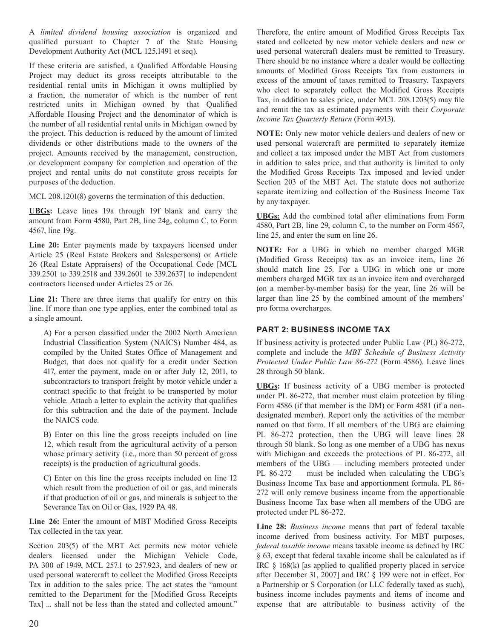A limited dividend housing association is organized and qualified pursuant to Chapter 7 of the State Housing Development Authority Act (MCL 125.1491 et seq).

If these criteria are satisfied, a Qualified Affordable Housing Project may deduct its gross receipts attributable to the residential rental units in Michigan it owns multiplied by a fraction, the numerator of which is the number of rent restricted units in Michigan owned by that Qualified Affordable Housing Project and the denominator of which is the number of all residential rental units in Michigan owned by the project. This deduction is reduced by the amount of limited dividends or other distributions made to the owners of the project. Amounts received by the management, construction, or development company for completion and operation of the project and rental units do not constitute gross receipts for purposes of the deduction.

MCL 208.1201(8) governs the termination of this deduction.

UBGs: Leave lines 19a through 19f blank and carry the amount from Form 4580, Part 2B, line 24g, column C, to Form 4567, line 19g.

Line 20: Enter payments made by taxpayers licensed under Article 25 (Real Estate Brokers and Salespersons) or Article 26 (Real Estate Appraisers) of the Occupational Code [MCL 339.2501 to 339.2518 and 339.2601 to 339.2637] to independent contractors licensed under Articles 25 or 26.

Line 21: There are three items that qualify for entry on this line. If more than one type applies, enter the combined total as a single amount.

A) For a person classified under the 2002 North American Industrial Classification System (NAICS) Number 484, as compiled by the United States Office of Management and Budget, that does not qualify for a credit under Section 417, enter the payment, made on or after July 12, 2011, to subcontractors to transport freight by motor vehicle under a contract specific to that freight to be transported by motor vehicle. Attach a letter to explain the activity that qualifies for this subtraction and the date of the payment. Include the NAICS code.

B) Enter on this line the gross receipts included on line 12, which result from the agricultural activity of a person whose primary activity (i.e., more than 50 percent of gross receipts) is the production of agricultural goods.

C) Enter on this line the gross receipts included on line 12 which result from the production of oil or gas, and minerals if that production of oil or gas, and minerals is subject to the Severance Tax on Oil or Gas, 1929 PA 48.

Line 26: Enter the amount of MBT Modified Gross Receipts Tax collected in the tax year.

Section 203(5) of the MBT Act permits new motor vehicle dealers licensed under the Michigan Vehicle Code, PA 300 of 1949, MCL 257.1 to 257.923, and dealers of new or used personal watercraft to collect the Modified Gross Receipts Tax in addition to the sales price. The act states the "amount remitted to the Department for the [Modified Gross Receipts Tax] ... shall not be less than the stated and collected amount."

Therefore, the entire amount of Modified Gross Receipts Tax stated and collected by new motor vehicle dealers and new or used personal watercraft dealers must be remitted to Treasury. There should be no instance where a dealer would be collecting amounts of Modified Gross Receipts Tax from customers in excess of the amount of taxes remitted to Treasury. Taxpayers who elect to separately collect the Modified Gross Receipts Tax, in addition to sales price, under MCL 208.1203(5) may file and remit the tax as estimated payments with their Corporate Income Tax Quarterly Return (Form 4913).

NOTE: Only new motor vehicle dealers and dealers of new or used personal watercraft are permitted to separately itemize and collect a tax imposed under the MBT Act from customers in addition to sales price, and that authority is limited to only the Modified Gross Receipts Tax imposed and levied under Section 203 of the MBT Act. The statute does not authorize separate itemizing and collection of the Business Income Tax by any taxpayer.

**UBGs:** Add the combined total after eliminations from Form 4580, Part 2B, line 29, column C, to the number on Form 4567, line 25, and enter the sum on line 26.

NOTE: For a UBG in which no member charged MGR (Modified Gross Receipts) tax as an invoice item, line 26 should match line 25. For a UBG in which one or more members charged MGR tax as an invoice item and overcharged (on a member-by-member basis) for the year, line 26 will be larger than line 25 by the combined amount of the members' pro forma overcharges.

# **PART 2: BUSINESS INCOME TAX**

If business activity is protected under Public Law (PL) 86-272, complete and include the MBT Schedule of Business Activity Protected Under Public Law 86-272 (Form 4586). Leave lines 28 through 50 blank.

**UBGs:** If business activity of a UBG member is protected under PL 86-272, that member must claim protection by filing Form 4586 (if that member is the DM) or Form 4581 (if a nondesignated member). Report only the activities of the member named on that form. If all members of the UBG are claiming PL 86-272 protection, then the UBG will leave lines 28 through 50 blank. So long as one member of a UBG has nexus with Michigan and exceeds the protections of PL 86-272, all members of the UBG — including members protected under PL  $86-272$  — must be included when calculating the UBG's Business Income Tax base and apportionment formula. PL 86-272 will only remove business income from the apportionable Business Income Tax base when all members of the UBG are protected under PL 86-272.

Line 28: Business income means that part of federal taxable income derived from business activity. For MBT purposes, federal taxable income means taxable income as defined by IRC § 63, except that federal taxable income shall be calculated as if IRC  $\S$  168(k) [as applied to qualified property placed in service after December 31, 2007] and IRC § 199 were not in effect. For a Partnership or S Corporation (or LLC federally taxed as such), business income includes payments and items of income and expense that are attributable to business activity of the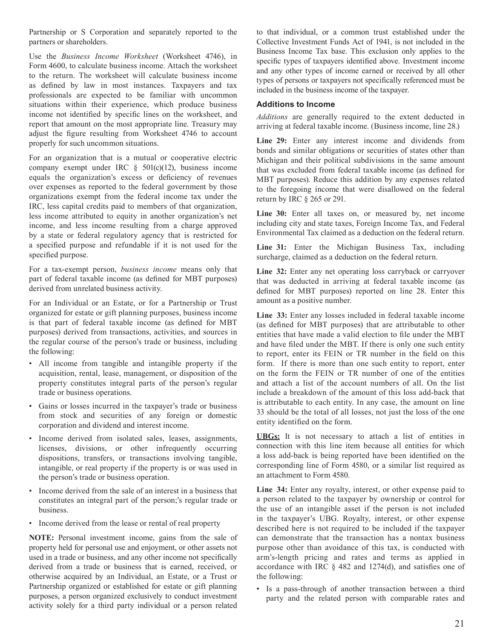Partnership or S Corporation and separately reported to the partners or shareholders.

Use the Business Income Worksheet (Worksheet 4746), in Form 4600, to calculate business income. Attach the worksheet to the return. The worksheet will calculate business income as defined by law in most instances. Taxpayers and tax professionals are expected to be familiar with uncommon situations within their experience, which produce business income not identified by specific lines on the worksheet, and report that amount on the most appropriate line. Treasury may adjust the figure resulting from Worksheet 4746 to account properly for such uncommon situations.

For an organization that is a mutual or cooperative electric company exempt under IRC  $\S$  501(c)(12), business income equals the organization's excess or deficiency of revenues over expenses as reported to the federal government by those organizations exempt from the federal income tax under the IRC, less capital credits paid to members of that organization, less income attributed to equity in another organization's net income, and less income resulting from a charge approved by a state or federal regulatory agency that is restricted for a specified purpose and refundable if it is not used for the specified purpose.

For a tax-exempt person, business income means only that part of federal taxable income (as defined for MBT purposes) derived from unrelated business activity.

For an Individual or an Estate, or for a Partnership or Trust organized for estate or gift planning purposes, business income is that part of federal taxable income (as defined for MBT purposes) derived from transactions, activities, and sources in the regular course of the person's trade or business, including the following:

- All income from tangible and intangible property if the acquisition, rental, lease, management, or disposition of the property constitutes integral parts of the person's regular trade or business operations.
- Gains or losses incurred in the taxpayer's trade or business from stock and securities of any foreign or domestic corporation and dividend and interest income.
- Income derived from isolated sales, leases, assignments, licenses, divisions, or other infrequently occurring dispositions, transfers, or transactions involving tangible, intangible, or real property if the property is or was used in the person's trade or business operation.
- Income derived from the sale of an interest in a business that constitutes an integral part of the person;'s regular trade or business.
- Income derived from the lease or rental of real property

NOTE: Personal investment income, gains from the sale of property held for personal use and enjoyment, or other assets not used in a trade or business, and any other income not specifically derived from a trade or business that is earned, received, or otherwise acquired by an Individual, an Estate, or a Trust or Partnership organized or established for estate or gift planning purposes, a person organized exclusively to conduct investment activity solely for a third party individual or a person related

to that individual, or a common trust established under the Collective Investment Funds Act of 1941, is not included in the Business Income Tax base. This exclusion only applies to the specific types of taxpayers identified above. Investment income and any other types of income earned or received by all other types of persons or taxpayers not specifically referenced must be included in the business income of the taxpayer.

### **Additions to Income**

Additions are generally required to the extent deducted in arriving at federal taxable income. (Business income, line 28.)

Line 29: Enter any interest income and dividends from bonds and similar obligations or securities of states other than Michigan and their political subdivisions in the same amount that was excluded from federal taxable income (as defined for MBT purposes). Reduce this addition by any expenses related to the foregoing income that were disallowed on the federal return by IRC § 265 or 291.

Line 30: Enter all taxes on, or measured by, net income including city and state taxes, Foreign Income Tax, and Federal Environmental Tax claimed as a deduction on the federal return.

Line 31: Enter the Michigan Business Tax, including surcharge, claimed as a deduction on the federal return.

Line 32: Enter any net operating loss carryback or carryover that was deducted in arriving at federal taxable income (as defined for MBT purposes) reported on line 28. Enter this amount as a positive number.

Line 33: Enter any losses included in federal taxable income (as defined for MBT purposes) that are attributable to other entities that have made a valid election to file under the MBT and have filed under the MBT. If there is only one such entity to report, enter its FEIN or TR number in the field on this form. If there is more than one such entity to report, enter on the form the FEIN or TR number of one of the entities and attach a list of the account numbers of all. On the list include a breakdown of the amount of this loss add-back that is attributable to each entity. In any case, the amount on line 33 should be the total of all losses, not just the loss of the one entity identified on the form.

UBGs: It is not necessary to attach a list of entities in connection with this line item because all entities for which a loss add-back is being reported have been identified on the corresponding line of Form 4580, or a similar list required as an attachment to Form 4580.

Line 34: Enter any royalty, interest, or other expense paid to a person related to the taxpayer by ownership or control for the use of an intangible asset if the person is not included in the taxpayer's UBG. Royalty, interest, or other expense described here is not required to be included if the taxpayer can demonstrate that the transaction has a nontax business purpose other than avoidance of this tax, is conducted with arm's-length pricing and rates and terms as applied in accordance with IRC § 482 and 1274(d), and satisfies one of the following:

· Is a pass-through of another transaction between a third party and the related person with comparable rates and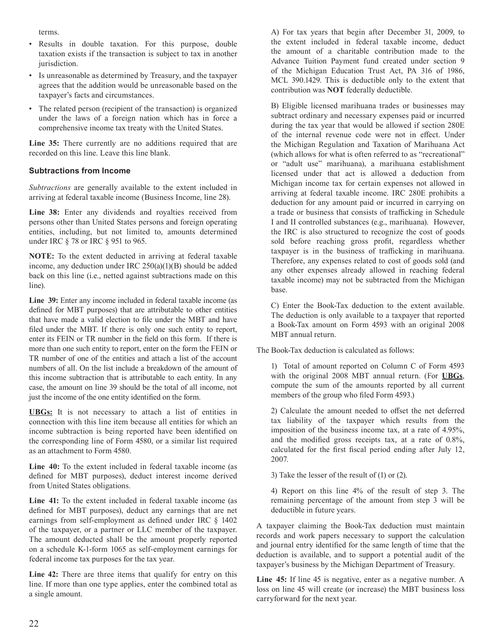terms.

- Results in double taxation. For this purpose, double  $\bullet$ taxation exists if the transaction is subject to tax in another jurisdiction.
- Is unreasonable as determined by Treasury, and the taxpayer agrees that the addition would be unreasonable based on the taxpayer's facts and circumstances.
- The related person (recipient of the transaction) is organized under the laws of a foreign nation which has in force a comprehensive income tax treaty with the United States.

Line 35: There currently are no additions required that are recorded on this line. Leave this line blank.

# **Subtractions from Income**

Subtractions are generally available to the extent included in arriving at federal taxable income (Business Income, line 28).

Line 38: Enter any dividends and royalties received from persons other than United States persons and foreign operating entities, including, but not limited to, amounts determined under IRC § 78 or IRC § 951 to 965.

NOTE: To the extent deducted in arriving at federal taxable income, any deduction under IRC  $250(a)(1)(B)$  should be added back on this line (i.e., netted against subtractions made on this line).

Line 39: Enter any income included in federal taxable income (as defined for MBT purposes) that are attributable to other entities that have made a valid election to file under the MBT and have filed under the MBT. If there is only one such entity to report, enter its FEIN or TR number in the field on this form. If there is more than one such entity to report, enter on the form the FEIN or TR number of one of the entities and attach a list of the account numbers of all. On the list include a breakdown of the amount of this income subtraction that is attributable to each entity. In any case, the amount on line 39 should be the total of all income, not just the income of the one entity identified on the form.

UBGs: It is not necessary to attach a list of entities in connection with this line item because all entities for which an income subtraction is being reported have been identified on the corresponding line of Form 4580, or a similar list required as an attachment to Form 4580.

Line 40: To the extent included in federal taxable income (as defined for MBT purposes), deduct interest income derived from United States obligations.

Line 41: To the extent included in federal taxable income (as defined for MBT purposes), deduct any earnings that are net earnings from self-employment as defined under IRC § 1402 of the taxpayer, or a partner or LLC member of the taxpayer. The amount deducted shall be the amount properly reported on a schedule K-1-form 1065 as self-employment earnings for federal income tax purposes for the tax year.

Line 42: There are three items that qualify for entry on this line. If more than one type applies, enter the combined total as a single amount.

A) For tax years that begin after December 31, 2009, to the extent included in federal taxable income, deduct the amount of a charitable contribution made to the Advance Tuition Payment fund created under section 9 of the Michigan Education Trust Act, PA 316 of 1986, MCL 390.1429. This is deductible only to the extent that contribution was NOT federally deductible.

B) Eligible licensed marihuana trades or businesses may subtract ordinary and necessary expenses paid or incurred during the tax year that would be allowed if section 280E of the internal revenue code were not in effect. Under the Michigan Regulation and Taxation of Marihuana Act (which allows for what is often referred to as "recreational" or "adult use" marihuana), a marihuana establishment licensed under that act is allowed a deduction from Michigan income tax for certain expenses not allowed in arriving at federal taxable income. IRC 280E prohibits a deduction for any amount paid or incurred in carrying on a trade or business that consists of trafficking in Schedule I and II controlled substances (e.g., marihuana). However, the IRC is also structured to recognize the cost of goods sold before reaching gross profit, regardless whether taxpayer is in the business of trafficking in marihuana. Therefore, any expenses related to cost of goods sold (and any other expenses already allowed in reaching federal taxable income) may not be subtracted from the Michigan base.

C) Enter the Book-Tax deduction to the extent available. The deduction is only available to a taxpayer that reported a Book-Tax amount on Form 4593 with an original 2008 MBT annual return.

The Book-Tax deduction is calculated as follows:

1) Total of amount reported on Column C of Form 4593 with the original 2008 MBT annual return. (For UBGs, compute the sum of the amounts reported by all current members of the group who filed Form 4593.)

2) Calculate the amount needed to offset the net deferred tax liability of the taxpayer which results from the imposition of the business income tax, at a rate of 4.95%, and the modified gross receipts tax, at a rate of 0.8%, calculated for the first fiscal period ending after July 12, 2007.

3) Take the lesser of the result of  $(1)$  or  $(2)$ .

4) Report on this line 4% of the result of step 3. The remaining percentage of the amount from step 3 will be deductible in future years.

A taxpayer claiming the Book-Tax deduction must maintain records and work papers necessary to support the calculation and journal entry identified for the same length of time that the deduction is available, and to support a potential audit of the taxpayer's business by the Michigan Department of Treasury.

Line 45: If line 45 is negative, enter as a negative number. A loss on line 45 will create (or increase) the MBT business loss carryforward for the next year.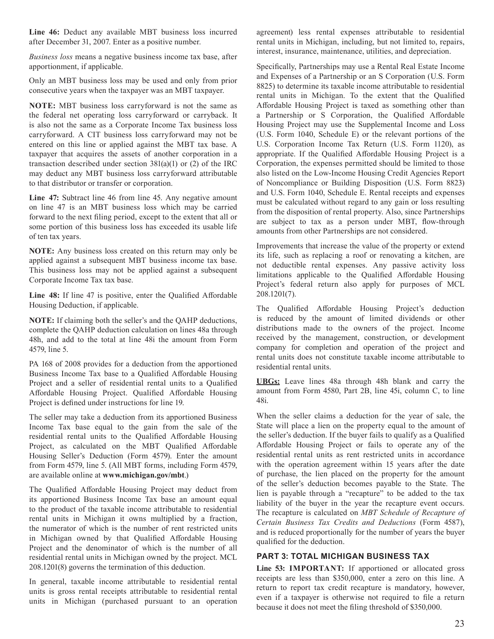Line 46: Deduct any available MBT business loss incurred after December 31, 2007. Enter as a positive number.

*Business loss* means a negative business income tax base, after apportionment, if applicable.

Only an MBT business loss may be used and only from prior consecutive years when the taxpayer was an MBT taxpayer.

**NOTE:** MBT business loss carryforward is not the same as the federal net operating loss carryforward or carryback. It is also not the same as a Corporate Income Tax business loss carryforward. A CIT business loss carryforward may not be entered on this line or applied against the MBT tax base. A taxpayer that acquires the assets of another corporation in a transaction described under section  $381(a)(1)$  or (2) of the IRC may deduct any MBT business loss carryforward attributable to that distributor or transfer or corporation.

**Line 47:** Subtract line 46 from line 45. Any negative amount on line 47 is an MBT business loss which may be carried forward to the next filing period, except to the extent that all or some portion of this business loss has exceeded its usable life of ten tax years.

**NOTE:** Any business loss created on this return may only be applied against a subsequent MBT business income tax base. This business loss may not be applied against a subsequent Corporate Income Tax tax base.

Line 48: If line 47 is positive, enter the Qualified Affordable Housing Deduction, if applicable.

**NOTE:** If claiming both the seller's and the QAHP deductions, complete the QAHP deduction calculation on lines 48a through 48h, and add to the total at line 48i the amount from Form 4579, line 5.

PA 168 of 2008 provides for a deduction from the apportioned Business Income Tax base to a Qualified Affordable Housing Project and a seller of residential rental units to a Qualified Affordable Housing Project. Qualified Affordable Housing Project is defined under instructions for line 19.

The seller may take a deduction from its apportioned Business Income Tax base equal to the gain from the sale of the residential rental units to the Qualified Affordable Housing Project, as calculated on the MBT Qualified Affordable Housing Seller's Deduction (Form 4579). Enter the amount from Form 4579, line 5. (All MBT forms, including Form 4579, are available online at www.michigan.gov/mbt.)

The Qualified Affordable Housing Project may deduct from its apportioned Business Income Tax base an amount equal to the product of the taxable income attributable to residential rental units in Michigan it owns multiplied by a fraction, the numerator of which is the number of rent restricted units in Michigan owned by that Qualified Affordable Housing Project and the denominator of which is the number of all residential rental units in Michigan owned by the project. MCL  $208.1201(8)$  governs the termination of this deduction.

In general, taxable income attributable to residential rental units is gross rental receipts attributable to residential rental units in Michigan (purchased pursuant to an operation agreement) less rental expenses attributable to residential rental units in Michigan, including, but not limited to, repairs, interest, insurance, maintenance, utilities, and depreciation.

Specifically, Partnerships may use a Rental Real Estate Income and Expenses of a Partnership or an S Corporation (U.S. Form  $8825$ ) to determine its taxable income attributable to residential rental units in Michigan. To the extent that the Qualified Affordable Housing Project is taxed as something other than a Partnership or S Corporation, the Qualified Affordable Housing Project may use the Supplemental Income and Loss (U.S. Form 1040, Schedule  $E$ ) or the relevant portions of the U.S. Corporation Income Tax Return (U.S. Form 1120), as appropriate. If the Qualified Affordable Housing Project is a Corporation, the expenses permitted should be limited to those also listed on the Low-Income Housing Credit Agencies Report of Noncompliance or Building Disposition (U.S. Form 8823) and U.S. Form 1040, Schedule E. Rental receipts and expenses must be calculated without regard to any gain or loss resulting from the disposition of rental property. Also, since Partnerships are subject to tax as a person under MBT, flow-through amounts from other Partnerships are not considered.

Improvements that increase the value of the property or extend its life, such as replacing a roof or renovating a kitchen, are not deductible rental expenses. Any passive activity loss limitations applicable to the Qualified Affordable Housing Project's federal return also apply for purposes of MCL  $208.1201(7)$ .

The Qualified Affordable Housing Project's deduction is reduced by the amount of limited dividends or other distributions made to the owners of the project. Income received by the management, construction, or development company for completion and operation of the project and rental units does not constitute taxable income attributable to residential rental units

**UBGs:** Leave lines 48a through 48h blank and carry the amount from Form 4580, Part 2B, line 45i, column C, to line  $48i$ .

When the seller claims a deduction for the year of sale, the State will place a lien on the property equal to the amount of the seller's deduction. If the buyer fails to qualify as a Qualified Affordable Housing Project or fails to operate any of the residential rental units as rent restricted units in accordance with the operation agreement within 15 years after the date of purchase, the lien placed on the property for the amount of the seller's deduction becomes payable to the State. The lien is payable through a "recapture" to be added to the tax liability of the buyer in the year the recapture event occurs. The recapture is calculated on *MBT Schedule of Recapture of Certain Business Tax Credits and Deductions* (Form 4587), and is reduced proportionally for the number of years the buyer qualified for the deduction.

# **PART 3: TOTAL MICHIGAN BUSINESS TAX**

Line 53: **IMPORTANT:** If apportioned or allocated gross receipts are less than \$350,000, enter a zero on this line. A return to report tax credit recapture is mandatory, however, even if a taxpayer is otherwise not required to file a return because it does not meet the filing threshold of \$350,000.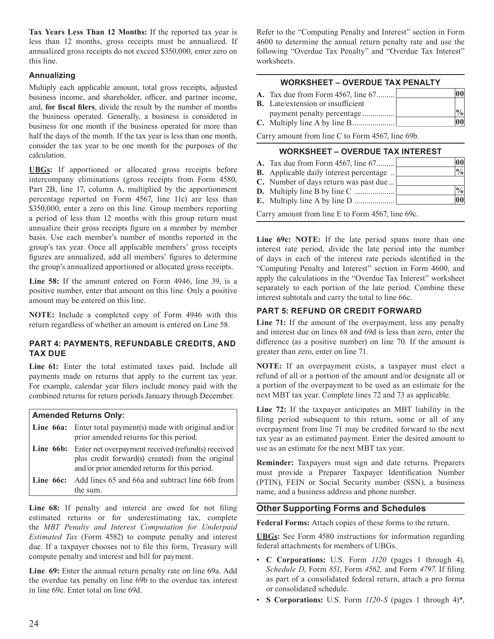Tax Years Less Than 12 Months: If the reported tax year is less than 12 months, gross receipts must be annualized. If annualized gross receipts do not exceed \$350,000, enter zero on this line.

# **Annualizing**

Multiply each applicable amount, total gross receipts, adjusted business income, and shareholder, officer, and partner income, and, for fiscal filers, divide the result by the number of months the business operated. Generally, a business is considered in business for one month if the business operated for more than half the days of the month. If the tax year is less than one month, consider the tax year to be one month for the purposes of the calculation.

**UBGs:** If apportioned or allocated gross receipts before intercompany eliminations (gross receipts from Form 4580, Part 2B, line 17, column A, multiplied by the apportionment percentage reported on Form 4567, line 11c) are less than \$350,000, enter a zero on this line. Group members reporting a period of less than 12 months with this group return must annualize their gross receipts figure on a member by member basis. Use each member's number of months reported in the group's tax year. Once all applicable members' gross receipts figures are annualized, add all members' figures to determine the group's annualized apportioned or allocated gross receipts.

Line 58: If the amount entered on Form 4946, line 39, is a positive number, enter that amount on this line. Only a positive amount may be entered on this line.

NOTE: Include a completed copy of Form 4946 with this return regardless of whether an amount is entered on Line 58.

# PART 4: PAYMENTS, REFUNDABLE CREDITS, AND **TAX DUE**

Line 61: Enter the total estimated taxes paid. Include all payments made on returns that apply to the current tax year. For example, calendar year filers include money paid with the combined returns for return periods January through December.

# **Amended Returns Only:**

| <b>Line 66a:</b> Enter total payment(s) made with original and/or<br>prior amended returns for this period.                                                               |  |
|---------------------------------------------------------------------------------------------------------------------------------------------------------------------------|--|
| <b>Line 66b:</b> Enter net overpayment received (refund(s) received<br>plus credit forward(s) created) from the original<br>and/or prior amended returns for this period. |  |
| <b>Line 66c:</b> Add lines 65 and 66a and subtract line 66b from<br>the sum.                                                                                              |  |

Line 68: If penalty and interest are owed for not filing estimated returns or for underestimating tax, complete the MBT Penalty and Interest Computation for Underpaid *Estimated Tax* (Form 4582) to compute penalty and interest due. If a taxpayer chooses not to file this form, Treasury will compute penalty and interest and bill for payment.

Line 69: Enter the annual return penalty rate on line 69a. Add the overdue tax penalty on line 69b to the overdue tax interest in line 69c. Enter total on line 69d.

Refer to the "Computing Penalty and Interest" section in Form 4600 to determine the annual return penalty rate and use the following "Overdue Tax Penalty" and "Overdue Tax Interest" worksheets.

### **WORKSHEET - OVERDUE TAX PENALTY**

| <b>A.</b> Tax due from Form 4567, line 67 |    |
|-------------------------------------------|----|
| <b>B.</b> Late/extension or insufficient  |    |
|                                           |    |
|                                           | 00 |

Carry amount from line C to Form 4567, line 69b.

## **WORKSHEET - OVERDUE TAX INTEREST**

| <b>A.</b> Tax due from Form 4567, line 67        | $ 00\rangle$  |
|--------------------------------------------------|---------------|
| <b>B.</b> Applicable daily interest percentage   | $\frac{0}{0}$ |
| C. Number of days return was past due            |               |
|                                                  | $\frac{0}{0}$ |
|                                                  | 00            |
| Carry amount from line E to Form 4567, line 69c. |               |

Line 69c: NOTE: If the late period spans more than one interest rate period, divide the late period into the number of days in each of the interest rate periods identified in the "Computing Penalty and Interest" section in Form 4600, and apply the calculations in the "Overdue Tax Interest" worksheet separately to each portion of the late period. Combine these interest subtotals and carry the total to line 66c.

# **PART 5: REFUND OR CREDIT FORWARD**

Line 71: If the amount of the overpayment, less any penalty and interest due on lines 68 and 69d is less than zero, enter the difference (as a positive number) on line 70. If the amount is greater than zero, enter on line 71.

NOTE: If an overpayment exists, a taxpayer must elect a refund of all or a portion of the amount and/or designate all or a portion of the overpayment to be used as an estimate for the next MBT tax year. Complete lines 72 and 73 as applicable.

Line 72: If the taxpayer anticipates an MBT liability in the filing period subsequent to this return, some or all of any overpayment from line 71 may be credited forward to the next tax year as an estimated payment. Enter the desired amount to use as an estimate for the next MBT tax year.

Reminder: Taxpayers must sign and date returns. Preparers must provide a Preparer Taxpayer Identification Number (PTIN), FEIN or Social Security number (SSN), a business name, and a business address and phone number.

# **Other Supporting Forms and Schedules**

Federal Forms: Attach copies of these forms to the return.

**UBGs:** See Form 4580 instructions for information regarding federal attachments for members of UBGs.

- C Corporations: U.S. Form 1120 (pages 1 through 4), Schedule D, Form 851, Form 4562, and Form 4797. If filing as part of a consolidated federal return, attach a pro forma or consolidated schedule.
- S Corporations: U.S. Form  $1120-S$  (pages 1 through 4)\*,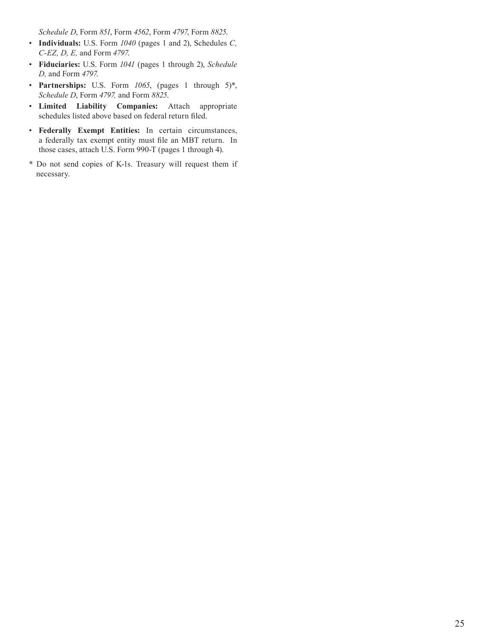*Schedule D*, Form 851, Form 4562, Form 4797, Form 8825.

- Individuals: U.S. Form  $1040$  (pages 1 and 2), Schedules C, *C-EZ, D, E, and Form 4797.*
- Fiduciaries: U.S. Form 1041 (pages 1 through 2), Schedule *D*, and Form 4797.
- Partnerships: U.S. Form 1065, (pages 1 through 5)\*, *Schedule D*, Form 4797, and Form 8825.
- Limited Liability Companies: Attach appropriate schedules listed above based on federal return filed.
- Federally Exempt Entities: In certain circumstances, a federally tax exempt entity must file an MBT return. In those cases, attach U.S. Form 990-T (pages 1 through 4).
- \* Do not send copies of K-1s. Treasury will request them if necessary.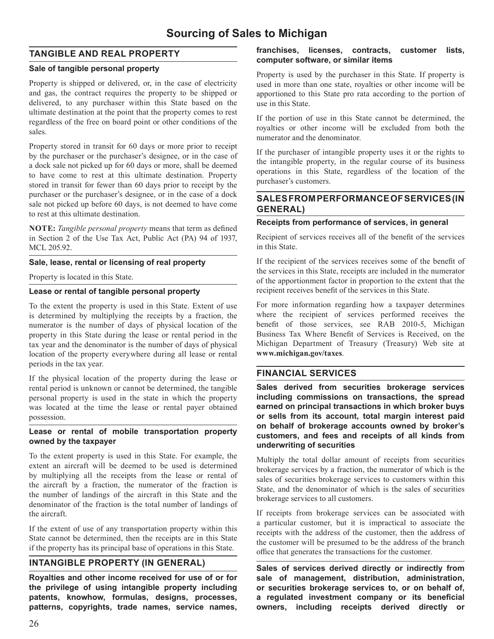# **Sourcing of Sales to Michigan**

# **TANGIBLE AND REAL PROPERTY**

# **Sale of tangible personal property**

Property is shipped or delivered, or, in the case of electricity and gas, the contract requires the property to be shipped or delivered, to any purchaser within this State based on the ultimate destination at the point that the property comes to rest regardless of the free on board point or other conditions of the sales.

Property stored in transit for 60 days or more prior to receipt by the purchaser or the purchaser's designee, or in the case of a dock sale not picked up for 60 days or more, shall be deemed to have come to rest at this ultimate destination. Property stored in transit for fewer than 60 days prior to receipt by the purchaser or the purchaser's designee, or in the case of a dock sale not picked up before 60 days, is not deemed to have come to rest at this ultimate destination.

**NOTE:** *Tangible personal property* means that term as defined in Section 2 of the Use Tax Act, Public Act (PA) 94 of 1937, MCL 205.92.

# **Sale, lease, rental or licensing of real property**

Property is located in this State.

### **Lease or rental of tangible personal property**

To the extent the property is used in this State. Extent of use is determined by multiplying the receipts by a fraction, the numerator is the number of days of physical location of the property in this State during the lease or rental period in the tax year and the denominator is the number of days of physical location of the property everywhere during all lease or rental periods in the tax year.

If the physical location of the property during the lease or rental period is unknown or cannot be determined, the tangible personal property is used in the state in which the property was located at the time the lease or rental payer obtained possession.

## **Lease or rental of mobile transportation property owned by the taxpayer**

To the extent property is used in this State. For example, the extent an aircraft will be deemed to be used is determined by multiplying all the receipts from the lease or rental of the aircraft by a fraction, the numerator of the fraction is the number of landings of the aircraft in this State and the denominator of the fraction is the total number of landings of the aircraft.

If the extent of use of any transportation property within this State cannot be determined, then the receipts are in this State if the property has its principal base of operations in this State.

# **INTANGIBLE PROPERTY (IN GENERAL)**

**Royalties and other income received for use of or for the privilege of using intangible property including patents, knowhow, formulas, designs, processes, patterns, copyrights, trade names, service names,** 

## **franchises, licenses, contracts, customer lists, computer software, or similar items**

Property is used by the purchaser in this State. If property is used in more than one state, royalties or other income will be apportioned to this State pro rata according to the portion of use in this State.

If the portion of use in this State cannot be determined, the royalties or other income will be excluded from both the numerator and the denominator.

If the purchaser of intangible property uses it or the rights to the intangible property, in the regular course of its business operations in this State, regardless of the location of the purchaser's customers.

# **SALES FROM PERFORMANCE OF SERVICES (IN GENERAL)**

# **Receipts from performance of services, in general**

Recipient of services receives all of the benefit of the services in this State.

If the recipient of the services receives some of the benefit of the services in this State, receipts are included in the numerator of the apportionment factor in proportion to the extent that the recipient receives benefit of the services in this State.

For more information regarding how a taxpayer determines where the recipient of services performed receives the benefit of those services, see RAB 2010-5, Michigan Business Tax Where Benefit of Services is Received, on the Michigan Department of Treasury (Treasury) Web site at **www.michigan.gov/taxes**

# **FINANCIAL SERVICES**

**Sales derived from securities brokerage services including commissions on transactions, the spread earned on principal transactions in which broker buys or sells from its account, total margin interest paid on behalf of brokerage accounts owned by broker's customers, and fees and receipts of all kinds from underwriting of securities**

Multiply the total dollar amount of receipts from securities brokerage services by a fraction, the numerator of which is the sales of securities brokerage services to customers within this State, and the denominator of which is the sales of securities brokerage services to all customers.

If receipts from brokerage services can be associated with a particular customer, but it is impractical to associate the receipts with the address of the customer, then the address of the customer will be presumed to be the address of the branch office that generates the transactions for the customer.

**Sales of services derived directly or indirectly from sale of management, distribution, administration, or securities brokerage services to, or on behalf of,**  a regulated investment company or its beneficial **owners, including receipts derived directly or**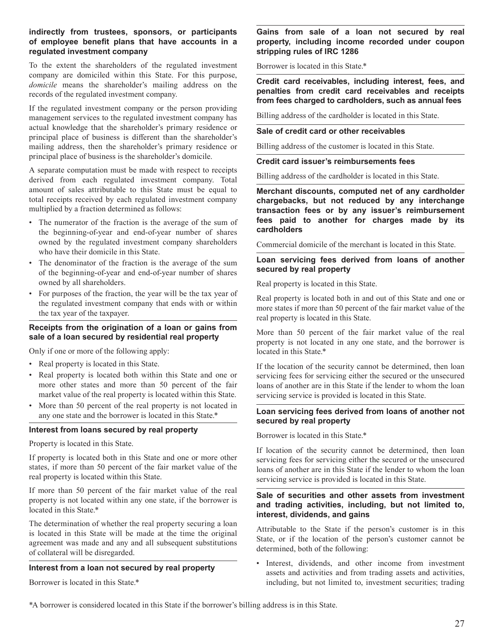## indirectly from trustees, sponsors, or participants of employee benefit plans that have accounts in a regulated investment company

To the extent the shareholders of the regulated investment company are domiciled within this State. For this purpose, domicile means the shareholder's mailing address on the records of the regulated investment company.

If the regulated investment company or the person providing management services to the regulated investment company has actual knowledge that the shareholder's primary residence or principal place of business is different than the shareholder's mailing address, then the shareholder's primary residence or principal place of business is the shareholder's domicile.

A separate computation must be made with respect to receipts derived from each regulated investment company. Total amount of sales attributable to this State must be equal to total receipts received by each regulated investment company multiplied by a fraction determined as follows:

- The numerator of the fraction is the average of the sum of the beginning-of-year and end-of-year number of shares owned by the regulated investment company shareholders who have their domicile in this State.
- The denominator of the fraction is the average of the sum of the beginning-of-year and end-of-year number of shares owned by all shareholders.
- For purposes of the fraction, the year will be the tax year of the regulated investment company that ends with or within the tax year of the taxpayer.

# Receipts from the origination of a loan or gains from sale of a loan secured by residential real property

Only if one or more of the following apply:

- Real property is located in this State.
- Real property is located both within this State and one or more other states and more than 50 percent of the fair market value of the real property is located within this State.
- More than 50 percent of the real property is not located in any one state and the borrower is located in this State.\*

## Interest from loans secured by real property

Property is located in this State.

If property is located both in this State and one or more other states, if more than 50 percent of the fair market value of the real property is located within this State.

If more than 50 percent of the fair market value of the real property is not located within any one state, if the borrower is located in this State.\*

The determination of whether the real property securing a loan is located in this State will be made at the time the original agreement was made and any and all subsequent substitutions of collateral will be disregarded.

# Interest from a loan not secured by real property

Borrower is located in this State.\*

## Gains from sale of a loan not secured by real property, including income recorded under coupon stripping rules of IRC 1286

Borrower is located in this State.\*

Credit card receivables, including interest, fees, and penalties from credit card receivables and receipts from fees charged to cardholders, such as annual fees

Billing address of the cardholder is located in this State.

### Sale of credit card or other receivables

Billing address of the customer is located in this State.

### **Credit card issuer's reimbursements fees**

Billing address of the cardholder is located in this State.

Merchant discounts, computed net of any cardholder charaebacks, but not reduced by any interchange transaction fees or by any issuer's reimbursement fees paid to another for charges made by its cardholders

Commercial domicile of the merchant is located in this State.

# Loan servicing fees derived from loans of another secured by real property

Real property is located in this State.

Real property is located both in and out of this State and one or more states if more than 50 percent of the fair market value of the real property is located in this State.

More than 50 percent of the fair market value of the real property is not located in any one state, and the borrower is located in this State.\*

If the location of the security cannot be determined, then loan servicing fees for servicing either the secured or the unsecured loans of another are in this State if the lender to whom the loan servicing service is provided is located in this State.

### Loan servicing fees derived from loans of another not secured by real property

Borrower is located in this State.\*

If location of the security cannot be determined, then loan servicing fees for servicing either the secured or the unsecured loans of another are in this State if the lender to whom the loan servicing service is provided is located in this State.

## Sale of securities and other assets from investment and trading activities, including, but not limited to, interest, dividends, and gains

Attributable to the State if the person's customer is in this State, or if the location of the person's customer cannot be determined, both of the following:

· Interest, dividends, and other income from investment assets and activities and from trading assets and activities, including, but not limited to, investment securities; trading

\*A borrower is considered located in this State if the borrower's billing address is in this State.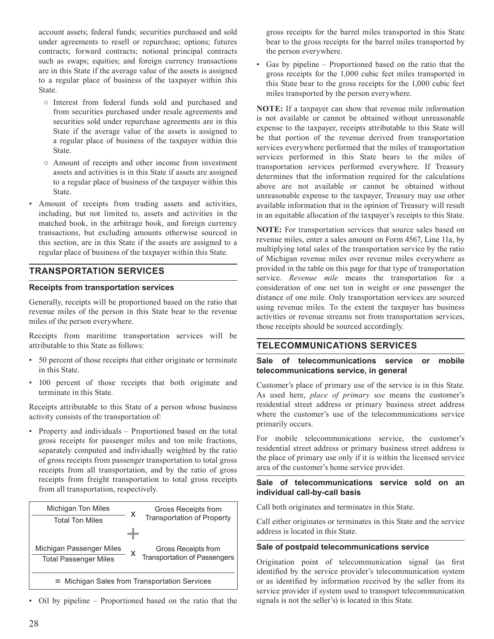account assets; federal funds; securities purchased and sold under agreements to resell or repurchase; options; futures contracts; forward contracts; notional principal contracts such as swaps; equities; and foreign currency transactions are in this State if the average value of the assets is assigned to a regular place of business of the taxpayer within this State.

- o Interest from federal funds sold and purchased and from securities purchased under resale agreements and securities sold under repurchase agreements are in this State if the average value of the assets is assigned to a regular place of business of the taxpayer within this State.
- Amount of receipts and other income from investment assets and activities is in this State if assets are assigned to a regular place of business of the taxpayer within this State.
- Amount of receipts from trading assets and activities, including, but not limited to, assets and activities in the matched book, in the arbitrage book, and foreign currency transactions, but excluding amounts otherwise sourced in this section, are in this State if the assets are assigned to a regular place of business of the taxpayer within this State.

# **TRANSPORTATION SERVICES**

### **Receipts from transportation services**

Generally, receipts will be proportioned based on the ratio that revenue miles of the person in this State bear to the revenue miles of the person everywhere.

Receipts from maritime transportation services will be attributable to this State as follows:

- 50 percent of those receipts that either originate or terminate in this State.
- 100 percent of those receipts that both originate and terminate in this State.

Receipts attributable to this State of a person whose business activity consists of the transportation of:

• Property and individuals – Proportioned based on the total gross receipts for passenger miles and ton mile fractions, separately computed and individually weighted by the ratio of gross receipts from passenger transportation to total gross receipts from all transportation, and by the ratio of gross receipts from freight transportation to total gross receipts from all transportation, respectively.



• Oil by pipeline – Proportioned based on the ratio that the

gross receipts for the barrel miles transported in this State bear to the gross receipts for the barrel miles transported by the person everywhere.

• Gas by pipeline – Proportioned based on the ratio that the gross receipts for the 1,000 cubic feet miles transported in this State bear to the gross receipts for the 1,000 cubic feet miles transported by the person everywhere.

**NOTE:** If a taxpayer can show that revenue mile information is not available or cannot be obtained without unreasonable expense to the taxpayer, receipts attributable to this State will be that portion of the revenue derived from transportation services everywhere performed that the miles of transportation services performed in this State bears to the miles of transportation services performed everywhere. If Treasury determines that the information required for the calculations above are not available or cannot be obtained without unreasonable expense to the taxpayer, Treasury may use other available information that in the opinion of Treasury will result in an equitable allocation of the taxpayer's receipts to this State.

NOTE: For transportation services that source sales based on revenue miles, enter a sales amount on Form 4567, Line 11a, by multiplying total sales of the transportation service by the ratio of Michigan revenue miles over revenue miles everywhere as provided in the table on this page for that type of transportation service. Revenue mile means the transportation for a consideration of one net ton in weight or one passenger the distance of one mile. Only transportation services are sourced using revenue miles. To the extent the taxpayer has business activities or revenue streams not from transportation services, those receipts should be sourced accordingly.

# **TELECOMMUNICATIONS SERVICES**

### Sale of telecommunications service or mobile telecommunications service, in general

Customer's place of primary use of the service is in this State. As used here, place of primary use means the customer's residential street address or primary business street address where the customer's use of the telecommunications service primarily occurs.

For mobile telecommunications service, the customer's residential street address or primary business street address is the place of primary use only if it is within the licensed service area of the customer's home service provider.

## Sale of telecommunications service sold on an individual call-by-call basis

Call both originates and terminates in this State.

Call either originates or terminates in this State and the service address is located in this State.

### Sale of postpaid telecommunications service

Origination point of telecommunication signal (as first identified by the service provider's telecommunication system or as identified by information received by the seller from its service provider if system used to transport telecommunication signals is not the seller's) is located in this State.